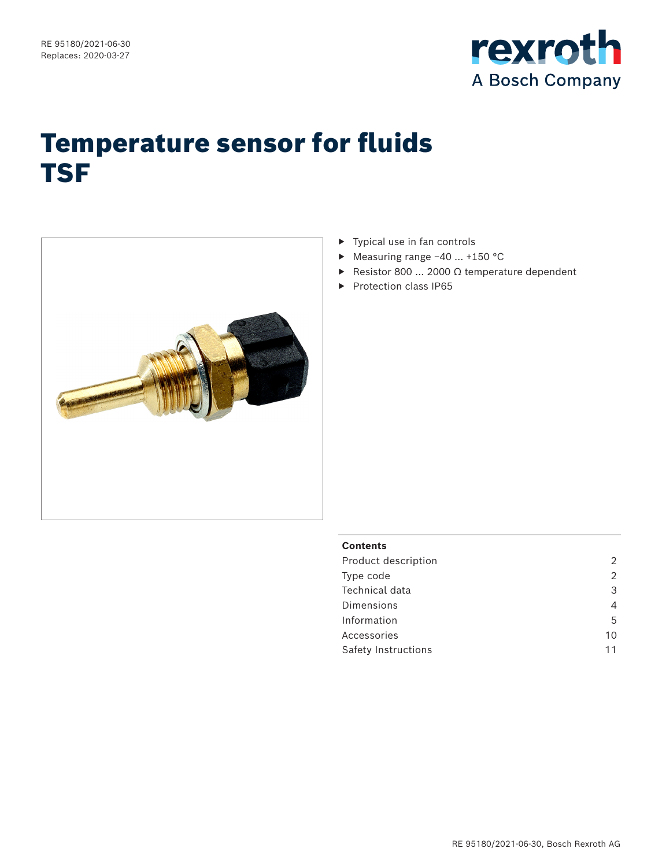

# Temperature sensor for fluids TSF



- $\blacktriangleright$  Typical use in fan controls
- ▶ Measuring range −40 … +150 °C
- ▶ Resistor 800 … 2000 Ω temperature dependent
- ▶ Protection class IP65

### **Contents**

| Product description | 2  |
|---------------------|----|
| Type code           | 2  |
| Technical data      | 3  |
| Dimensions          | 4  |
| Information         | 5  |
| Accessories         | 10 |
| Safety Instructions | 11 |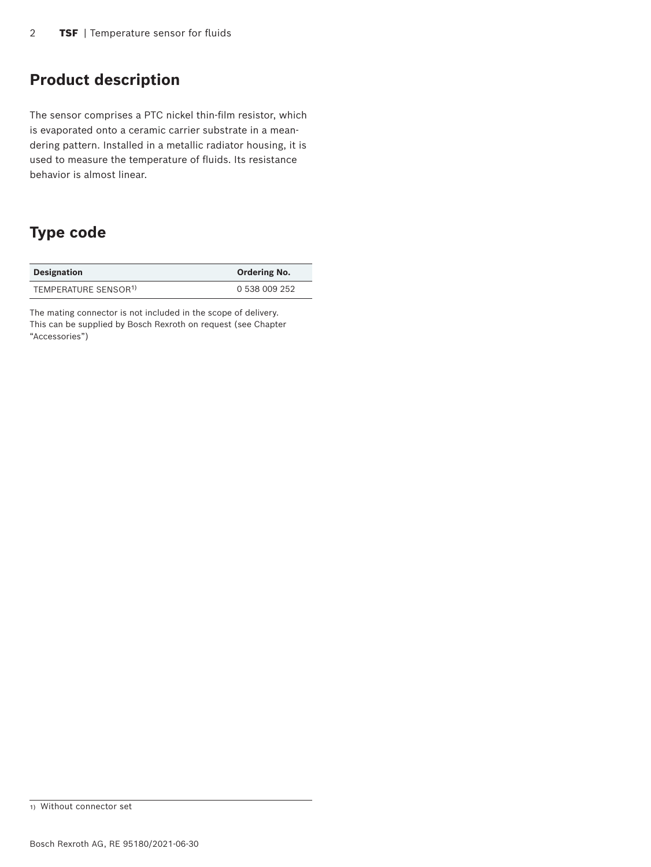### **Product description**

The sensor comprises a PTC nickel thin-film resistor, which is evaporated onto a ceramic carrier substrate in a meandering pattern. Installed in a metallic radiator housing, it is used to measure the temperature of fluids. Its resistance behavior is almost linear.

### **Type code**

| <b>Designation</b>               | <b>Ordering No.</b> |  |  |
|----------------------------------|---------------------|--|--|
| TEMPERATURE SENSOR <sup>1)</sup> | 0.538.009.252       |  |  |

The mating connector is not included in the scope of delivery. This can be supplied by Bosch Rexroth on request (see Chapter "Accessories")

<sup>1)</sup> Without connector set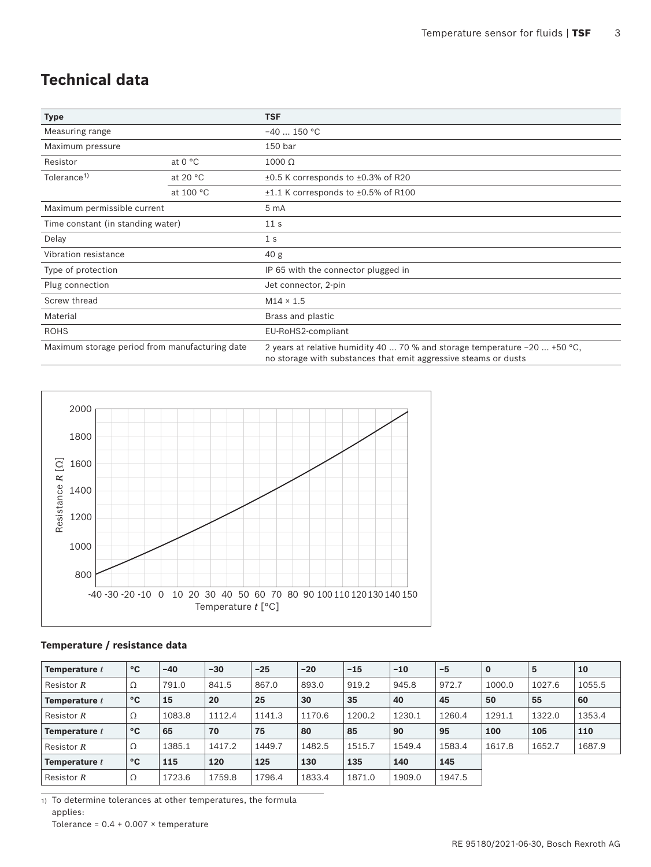## **Technical data**

| <b>Type</b>                                    |                   | <b>TSF</b>                                                                                                                                     |
|------------------------------------------------|-------------------|------------------------------------------------------------------------------------------------------------------------------------------------|
| Measuring range                                |                   | $-40$ 150 °C                                                                                                                                   |
| Maximum pressure                               |                   | 150 bar                                                                                                                                        |
| Resistor                                       | at $0 °C$         | $1000 \Omega$                                                                                                                                  |
| Tolerance <sup>1)</sup>                        | at 20 $\degree$ C | ±0.5 K corresponds to ±0.3% of R20                                                                                                             |
|                                                | at 100 °C         | $\pm 1.1$ K corresponds to $\pm 0.5$ % of R100                                                                                                 |
| Maximum permissible current                    |                   | 5 <sub>mA</sub>                                                                                                                                |
| Time constant (in standing water)              |                   | 11 <sub>s</sub>                                                                                                                                |
| Delay                                          |                   | 1 <sub>s</sub>                                                                                                                                 |
| Vibration resistance                           |                   | 40 <sub>g</sub>                                                                                                                                |
| Type of protection                             |                   | IP 65 with the connector plugged in                                                                                                            |
| Plug connection                                |                   | Jet connector, 2-pin                                                                                                                           |
| Screw thread                                   |                   | $M14 \times 1.5$                                                                                                                               |
| Material                                       |                   | Brass and plastic                                                                                                                              |
| <b>ROHS</b>                                    |                   | EU-RoHS2-compliant                                                                                                                             |
| Maximum storage period from manufacturing date |                   | 2 years at relative humidity 40  70 % and storage temperature $-20$ +50 °C,<br>no storage with substances that emit aggressive steams or dusts |



### **Temperature / resistance data**

| Temperature t   | °C | $-40$  | $-30$  | $-25$  | $-20$  | $-15$  | $-10$  | $-5$   | $\mathbf 0$ | 5      | 10     |
|-----------------|----|--------|--------|--------|--------|--------|--------|--------|-------------|--------|--------|
| Resistor $R$    | Ω  | 791.0  | 841.5  | 867.0  | 893.0  | 919.2  | 945.8  | 972.7  | 1000.0      | 1027.6 | 1055.5 |
| Temperature t   | °C | 15     | 20     | 25     | 30     | 35     | 40     | 45     | 50          | 55     | 60     |
| Resistor R      | Ω  | 1083.8 | 1112.4 | 1141.3 | 1170.6 | 1200.2 | 1230.1 | 1260.4 | 1291.1      | 1322.0 | 1353.4 |
| Temperature $t$ | °C | 65     | 70     | 75     | 80     | 85     | 90     | 95     | 100         | 105    | 110    |
| Resistor R      | Ω  | 1385.1 | 1417.2 | 1449.7 | 1482.5 | 1515.7 | 1549.4 | 1583.4 | 1617.8      | 1652.7 | 1687.9 |
| Temperature t   | °C | 115    | 120    | 125    | 130    | 135    | 140    | 145    |             |        |        |
| Resistor $R$    | Ω  | 1723.6 | 1759.8 | 1796.4 | 1833.4 | 1871.0 | 1909.0 | 1947.5 |             |        |        |

1) To determine tolerances at other temperatures, the formula applies: Tolerance =  $0.4 + 0.007 \times$  temperature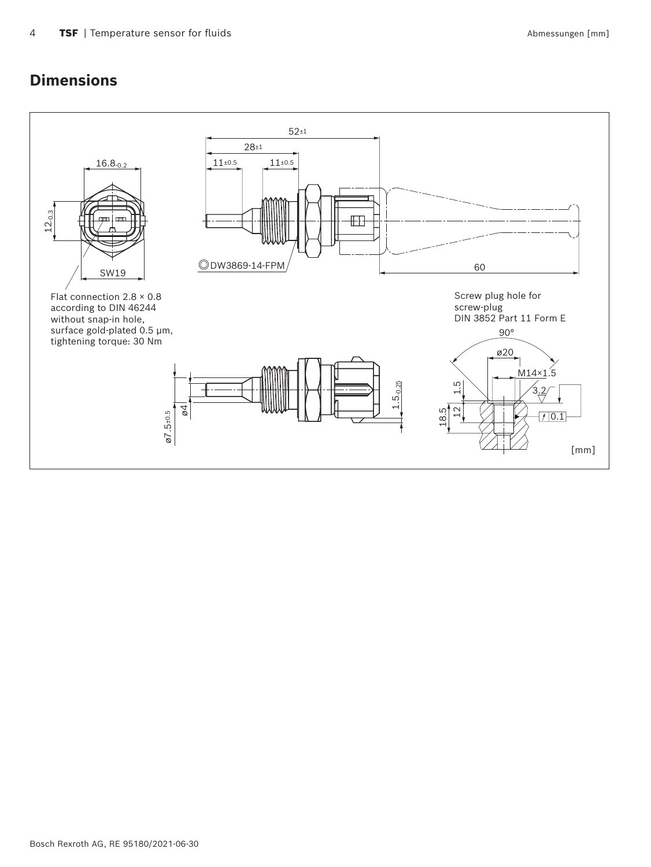### **Dimensions**

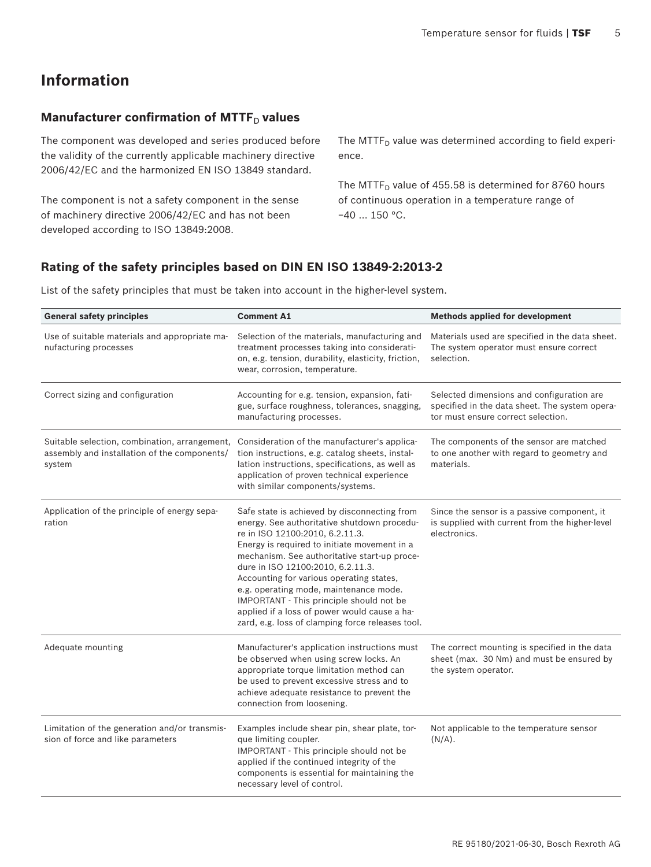# **Information**

### **Manufacturer confirmation of MTTF**<sub>D</sub> values

The component was developed and series produced before the validity of the currently applicable machinery directive 2006/42/EC and the harmonized EN ISO 13849 standard.

The component is not a safety component in the sense of machinery directive 2006/42/EC and has not been developed according to ISO 13849:2008.

The MTTF $_D$  value was determined according to field experience.

The MTTF $<sub>D</sub>$  value of 455.58 is determined for 8760 hours</sub> of continuous operation in a temperature range of −40 … 150 °C.

### **Rating of the safety principles based on DIN EN ISO 13849-2:2013-2**

List of the safety principles that must be taken into account in the higher-level system.

| <b>General safety principles</b>                                                                        | <b>Comment A1</b>                                                                                                                                                                                                                                                                                                                                                                                                                                                                                         | <b>Methods applied for development</b>                                                                                            |  |
|---------------------------------------------------------------------------------------------------------|-----------------------------------------------------------------------------------------------------------------------------------------------------------------------------------------------------------------------------------------------------------------------------------------------------------------------------------------------------------------------------------------------------------------------------------------------------------------------------------------------------------|-----------------------------------------------------------------------------------------------------------------------------------|--|
| Use of suitable materials and appropriate ma-<br>nufacturing processes                                  | Selection of the materials, manufacturing and<br>Materials used are specified in the data sheet.<br>treatment processes taking into considerati-<br>The system operator must ensure correct<br>on, e.g. tension, durability, elasticity, friction,<br>selection.<br>wear, corrosion, temperature.                                                                                                                                                                                                         |                                                                                                                                   |  |
| Correct sizing and configuration                                                                        | Accounting for e.g. tension, expansion, fati-<br>gue, surface roughness, tolerances, snagging,<br>manufacturing processes.                                                                                                                                                                                                                                                                                                                                                                                | Selected dimensions and configuration are<br>specified in the data sheet. The system opera-<br>tor must ensure correct selection. |  |
| Suitable selection, combination, arrangement,<br>assembly and installation of the components/<br>system | Consideration of the manufacturer's applica-<br>tion instructions, e.g. catalog sheets, instal-<br>lation instructions, specifications, as well as<br>application of proven technical experience<br>with similar components/systems.                                                                                                                                                                                                                                                                      | The components of the sensor are matched<br>to one another with regard to geometry and<br>materials.                              |  |
| Application of the principle of energy sepa-<br>ration                                                  | Safe state is achieved by disconnecting from<br>energy. See authoritative shutdown procedu-<br>re in ISO 12100:2010, 6.2.11.3.<br>Energy is required to initiate movement in a<br>mechanism. See authoritative start-up proce-<br>dure in ISO 12100:2010, 6.2.11.3.<br>Accounting for various operating states,<br>e.g. operating mode, maintenance mode.<br>IMPORTANT - This principle should not be<br>applied if a loss of power would cause a ha-<br>zard, e.g. loss of clamping force releases tool. | Since the sensor is a passive component, it<br>is supplied with current from the higher-level<br>electronics.                     |  |
| Adequate mounting                                                                                       | Manufacturer's application instructions must<br>be observed when using screw locks. An<br>appropriate torque limitation method can<br>be used to prevent excessive stress and to<br>achieve adequate resistance to prevent the<br>connection from loosening.                                                                                                                                                                                                                                              | The correct mounting is specified in the data<br>sheet (max. 30 Nm) and must be ensured by<br>the system operator.                |  |
| Limitation of the generation and/or transmis-<br>sion of force and like parameters                      | Examples include shear pin, shear plate, tor-<br>que limiting coupler.<br>IMPORTANT - This principle should not be<br>applied if the continued integrity of the<br>components is essential for maintaining the<br>necessary level of control.                                                                                                                                                                                                                                                             | Not applicable to the temperature sensor<br>$(N/A)$ .                                                                             |  |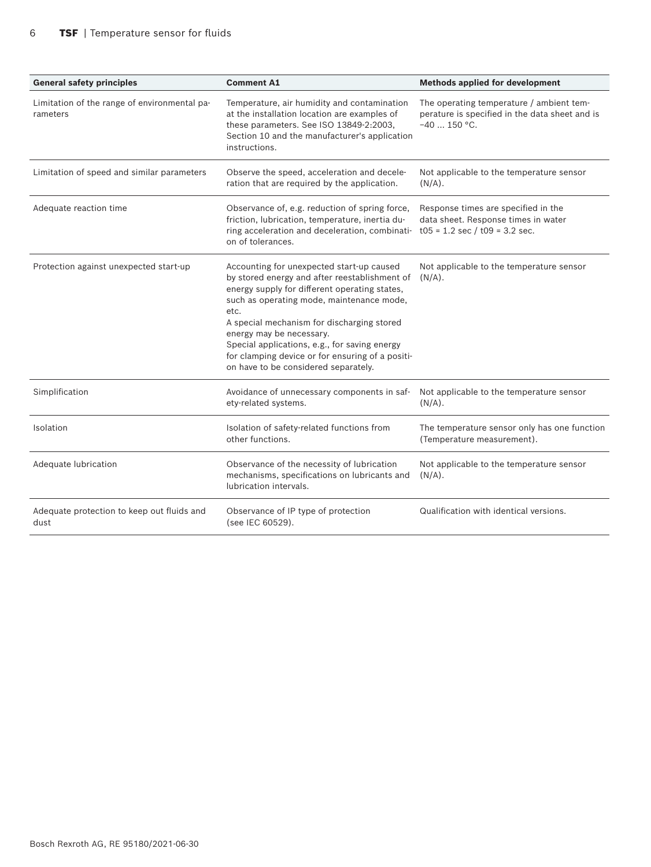| <b>General safety principles</b>                         | <b>Comment A1</b>                                                                                                                                                                                                                                                                                                                                                                                                       | <b>Methods applied for development</b>                                                                      |  |
|----------------------------------------------------------|-------------------------------------------------------------------------------------------------------------------------------------------------------------------------------------------------------------------------------------------------------------------------------------------------------------------------------------------------------------------------------------------------------------------------|-------------------------------------------------------------------------------------------------------------|--|
| Limitation of the range of environmental pa-<br>rameters | Temperature, air humidity and contamination<br>at the installation location are examples of<br>these parameters. See ISO 13849-2:2003,<br>Section 10 and the manufacturer's application<br>instructions.                                                                                                                                                                                                                | The operating temperature / ambient tem-<br>perature is specified in the data sheet and is<br>$-40$ 150 °C. |  |
| Limitation of speed and similar parameters               | Observe the speed, acceleration and decele-<br>ration that are required by the application.                                                                                                                                                                                                                                                                                                                             | Not applicable to the temperature sensor<br>$(N/A)$ .                                                       |  |
| Adequate reaction time                                   | Observance of, e.g. reduction of spring force,<br>friction, lubrication, temperature, inertia du-<br>ring acceleration and deceleration, combinati- $t05 = 1.2$ sec / $t09 = 3.2$ sec.<br>on of tolerances.                                                                                                                                                                                                             | Response times are specified in the<br>data sheet. Response times in water                                  |  |
| Protection against unexpected start-up                   | Accounting for unexpected start-up caused<br>by stored energy and after reestablishment of<br>energy supply for different operating states,<br>such as operating mode, maintenance mode,<br>etc.<br>A special mechanism for discharging stored<br>energy may be necessary.<br>Special applications, e.g., for saving energy<br>for clamping device or for ensuring of a positi-<br>on have to be considered separately. | Not applicable to the temperature sensor<br>$(N/A)$ .                                                       |  |
| Simplification                                           | Avoidance of unnecessary components in saf-<br>ety-related systems.                                                                                                                                                                                                                                                                                                                                                     | Not applicable to the temperature sensor<br>$(N/A)$ .                                                       |  |
| Isolation                                                | Isolation of safety-related functions from<br>other functions.                                                                                                                                                                                                                                                                                                                                                          | The temperature sensor only has one function<br>(Temperature measurement).                                  |  |
| Adequate lubrication                                     | Observance of the necessity of lubrication<br>mechanisms, specifications on lubricants and<br>lubrication intervals.                                                                                                                                                                                                                                                                                                    | Not applicable to the temperature sensor<br>$(N/A)$ .                                                       |  |
| Adequate protection to keep out fluids and<br>dust       | Observance of IP type of protection<br>(see IEC 60529).                                                                                                                                                                                                                                                                                                                                                                 | Qualification with identical versions.                                                                      |  |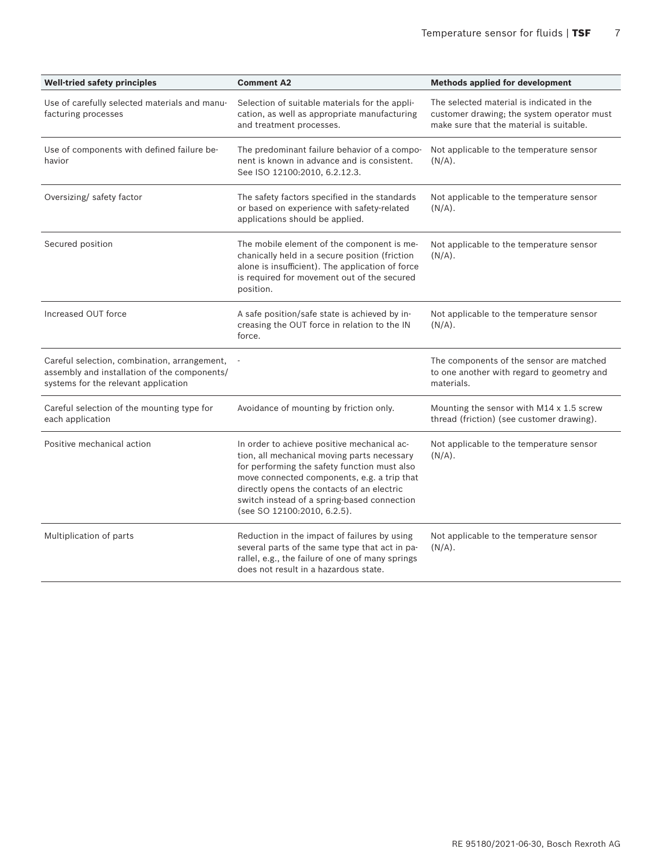| <b>Well-tried safety principles</b>                                                                                                  | <b>Comment A2</b>                                                                                                                                                                                                                                                                                                     | <b>Methods applied for development</b>                                                               |
|--------------------------------------------------------------------------------------------------------------------------------------|-----------------------------------------------------------------------------------------------------------------------------------------------------------------------------------------------------------------------------------------------------------------------------------------------------------------------|------------------------------------------------------------------------------------------------------|
| Use of carefully selected materials and manu-<br>facturing processes                                                                 | The selected material is indicated in the<br>Selection of suitable materials for the appli-<br>cation, as well as appropriate manufacturing<br>customer drawing; the system operator must<br>and treatment processes.<br>make sure that the material is suitable.                                                     |                                                                                                      |
| Use of components with defined failure be-<br>havior                                                                                 | The predominant failure behavior of a compo-<br>nent is known in advance and is consistent.<br>See ISO 12100:2010, 6.2.12.3.                                                                                                                                                                                          | Not applicable to the temperature sensor<br>$(N/A)$ .                                                |
| Oversizing/ safety factor                                                                                                            | The safety factors specified in the standards<br>or based on experience with safety-related<br>applications should be applied.                                                                                                                                                                                        | Not applicable to the temperature sensor<br>$(N/A)$ .                                                |
| Secured position                                                                                                                     | The mobile element of the component is me-<br>chanically held in a secure position (friction<br>alone is insufficient). The application of force<br>is required for movement out of the secured<br>position.                                                                                                          | Not applicable to the temperature sensor<br>$(N/A)$ .                                                |
| Increased OUT force                                                                                                                  | A safe position/safe state is achieved by in-<br>creasing the OUT force in relation to the IN<br>force.                                                                                                                                                                                                               | Not applicable to the temperature sensor<br>$(N/A)$ .                                                |
| Careful selection, combination, arrangement,<br>assembly and installation of the components/<br>systems for the relevant application |                                                                                                                                                                                                                                                                                                                       | The components of the sensor are matched<br>to one another with regard to geometry and<br>materials. |
| Careful selection of the mounting type for<br>each application                                                                       | Avoidance of mounting by friction only.                                                                                                                                                                                                                                                                               | Mounting the sensor with M14 x 1.5 screw<br>thread (friction) (see customer drawing).                |
| Positive mechanical action                                                                                                           | In order to achieve positive mechanical ac-<br>tion, all mechanical moving parts necessary<br>for performing the safety function must also<br>move connected components, e.g. a trip that<br>directly opens the contacts of an electric<br>switch instead of a spring-based connection<br>(see SO 12100:2010, 6.2.5). | Not applicable to the temperature sensor<br>$(N/A)$ .                                                |
| Multiplication of parts                                                                                                              | Reduction in the impact of failures by using<br>several parts of the same type that act in pa-<br>rallel, e.g., the failure of one of many springs<br>does not result in a hazardous state.                                                                                                                           | Not applicable to the temperature sensor<br>$(N/A)$ .                                                |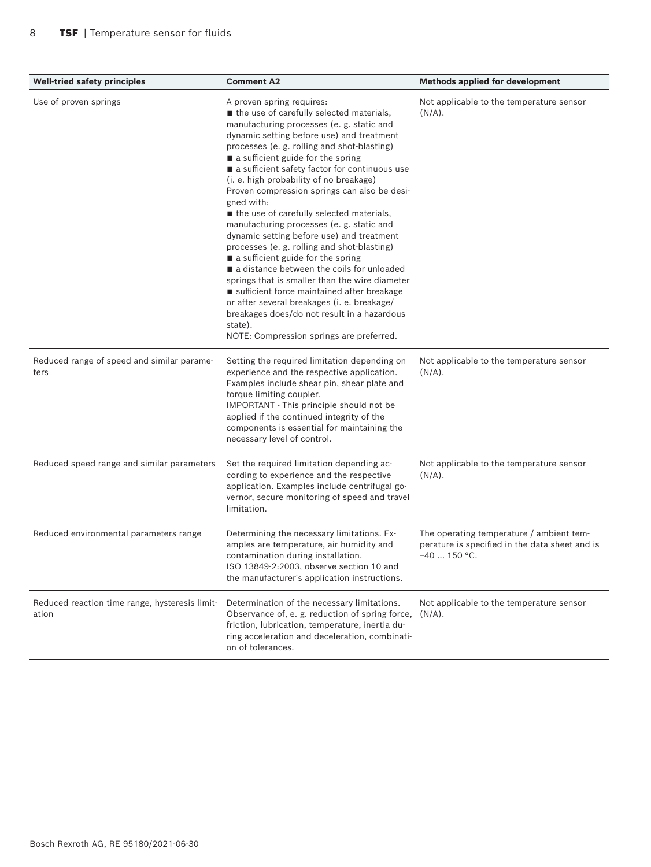| <b>Well-tried safety principles</b>                     | <b>Comment A2</b>                                                                                                                                                                                                                                                                                                                                                                                                                                                                                                                                                                                                                                                                                                                                                                                                                                                                                                                        | <b>Methods applied for development</b>                                                                      |
|---------------------------------------------------------|------------------------------------------------------------------------------------------------------------------------------------------------------------------------------------------------------------------------------------------------------------------------------------------------------------------------------------------------------------------------------------------------------------------------------------------------------------------------------------------------------------------------------------------------------------------------------------------------------------------------------------------------------------------------------------------------------------------------------------------------------------------------------------------------------------------------------------------------------------------------------------------------------------------------------------------|-------------------------------------------------------------------------------------------------------------|
| Use of proven springs                                   | A proven spring requires:<br>the use of carefully selected materials,<br>manufacturing processes (e. g. static and<br>dynamic setting before use) and treatment<br>processes (e. g. rolling and shot-blasting)<br>a sufficient guide for the spring<br>a sufficient safety factor for continuous use<br>(i. e. high probability of no breakage)<br>Proven compression springs can also be desi-<br>gned with:<br>the use of carefully selected materials,<br>manufacturing processes (e. g. static and<br>dynamic setting before use) and treatment<br>processes (e.g. rolling and shot-blasting)<br>a sufficient guide for the spring<br>a distance between the coils for unloaded<br>springs that is smaller than the wire diameter<br>sufficient force maintained after breakage<br>or after several breakages (i. e. breakage/<br>breakages does/do not result in a hazardous<br>state).<br>NOTE: Compression springs are preferred. | Not applicable to the temperature sensor<br>$(N/A)$ .                                                       |
| Reduced range of speed and similar parame-<br>ters      | Setting the required limitation depending on<br>experience and the respective application.<br>Examples include shear pin, shear plate and<br>torque limiting coupler.<br>IMPORTANT - This principle should not be<br>applied if the continued integrity of the<br>components is essential for maintaining the<br>necessary level of control.                                                                                                                                                                                                                                                                                                                                                                                                                                                                                                                                                                                             | Not applicable to the temperature sensor<br>$(N/A)$ .                                                       |
| Reduced speed range and similar parameters              | Set the required limitation depending ac-<br>cording to experience and the respective<br>application. Examples include centrifugal go-<br>vernor, secure monitoring of speed and travel<br>limitation.                                                                                                                                                                                                                                                                                                                                                                                                                                                                                                                                                                                                                                                                                                                                   | Not applicable to the temperature sensor<br>$(N/A)$ .                                                       |
| Reduced environmental parameters range                  | Determining the necessary limitations. Ex-<br>amples are temperature, air humidity and<br>contamination during installation.<br>ISO 13849-2:2003, observe section 10 and<br>the manufacturer's application instructions.                                                                                                                                                                                                                                                                                                                                                                                                                                                                                                                                                                                                                                                                                                                 | The operating temperature / ambient tem-<br>perature is specified in the data sheet and is<br>$-40$ 150 °C. |
| Reduced reaction time range, hysteresis limit-<br>ation | Determination of the necessary limitations.<br>Observance of, e. g. reduction of spring force,<br>friction, lubrication, temperature, inertia du-<br>ring acceleration and deceleration, combinati-<br>on of tolerances.                                                                                                                                                                                                                                                                                                                                                                                                                                                                                                                                                                                                                                                                                                                 | Not applicable to the temperature sensor<br>$(N/A)$ .                                                       |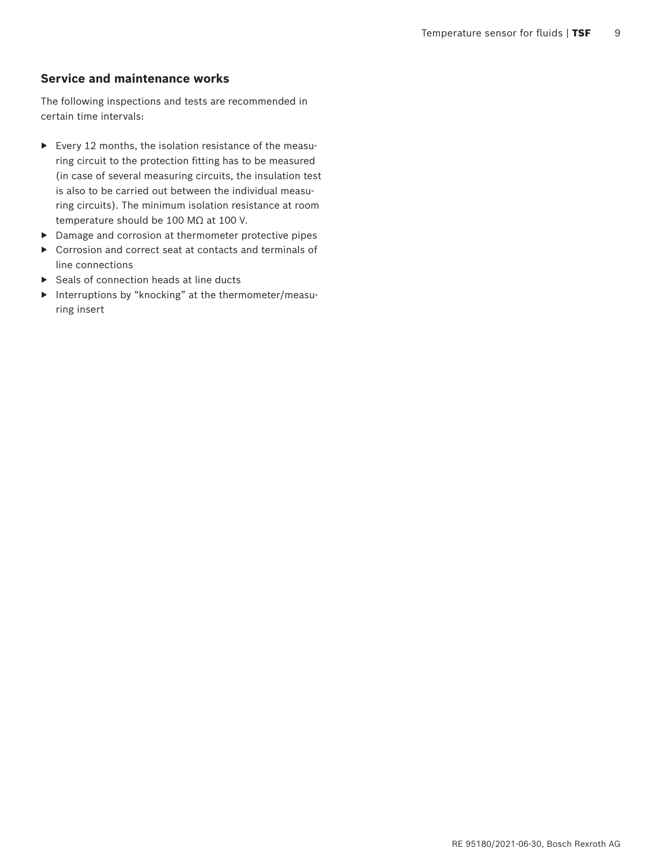### **Service and maintenance works**

The following inspections and tests are recommended in certain time intervals:

- $\blacktriangleright$  Every 12 months, the isolation resistance of the measuring circuit to the protection fitting has to be measured (in case of several measuring circuits, the insulation test is also to be carried out between the individual measuring circuits). The minimum isolation resistance at room temperature should be 100 MΩ at 100 V.
- ▶ Damage and corrosion at thermometer protective pipes
- ▶ Corrosion and correct seat at contacts and terminals of line connections
- $\blacktriangleright$  Seals of connection heads at line ducts
- ▶ Interruptions by "knocking" at the thermometer/measuring insert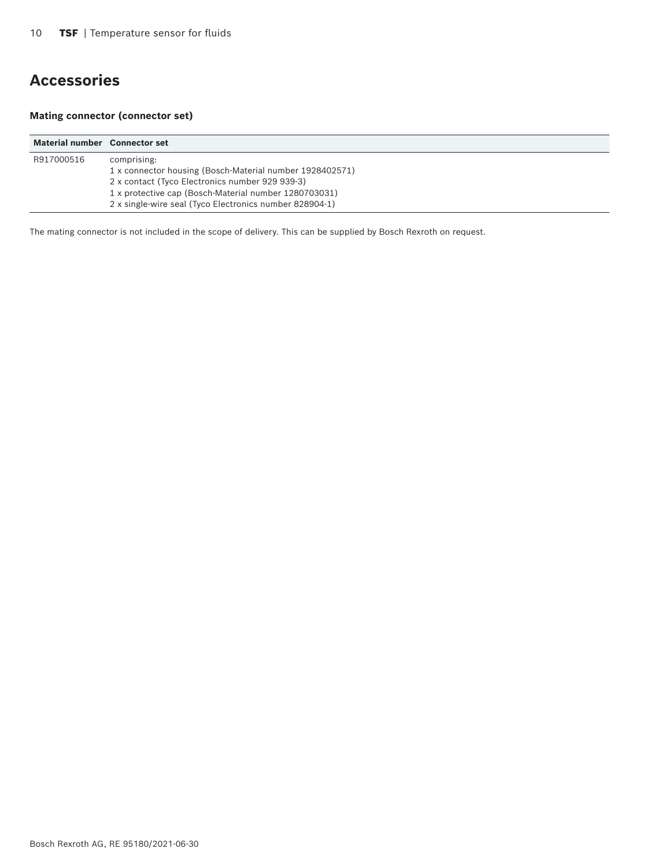## **Accessories**

### **Mating connector (connector set)**

| Material number Connector set |                                                                                                                                                                                                                                                |
|-------------------------------|------------------------------------------------------------------------------------------------------------------------------------------------------------------------------------------------------------------------------------------------|
| R917000516                    | comprising:<br>1 x connector housing (Bosch-Material number 1928402571)<br>2 x contact (Tyco Electronics number 929 939-3)<br>1 x protective cap (Bosch-Material number 1280703031)<br>2 x single-wire seal (Tyco Electronics number 828904-1) |

The mating connector is not included in the scope of delivery. This can be supplied by Bosch Rexroth on request.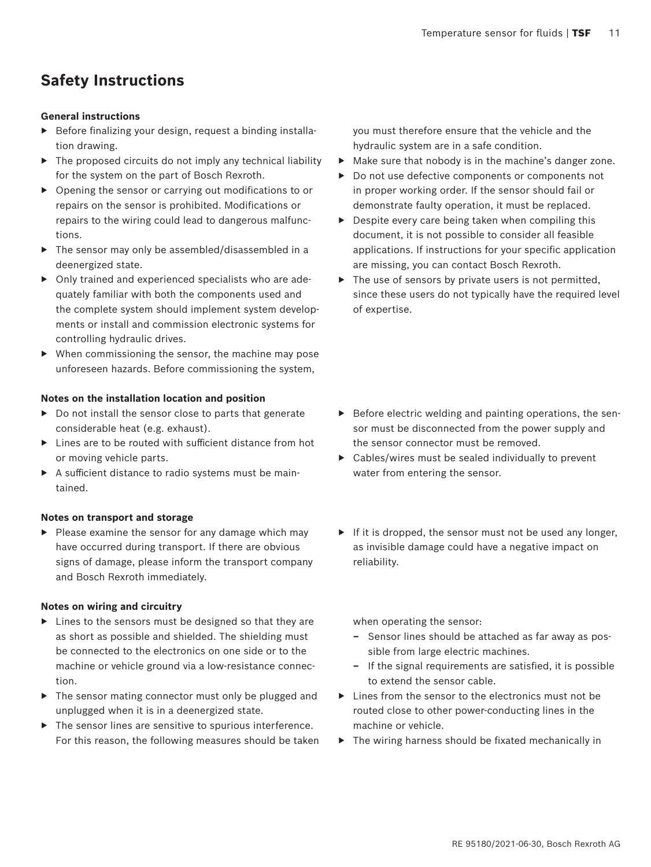## **Safety Instructions**

### **General instructions**

- $\triangleright$  Before finalizing your design, request a binding installation drawing.
- $\triangleright$  The proposed circuits do not imply any technical liability for the system on the part of Bosch Rexroth.
- $\triangleright$  Opening the sensor or carrying out modifications to or repairs on the sensor is prohibited. Modifications or repairs to the wiring could lead to dangerous malfunctions.
- $\triangleright$  The sensor may only be assembled/disassembled in a deenergized state.
- $\triangleright$  Only trained and experienced specialists who are adequately familiar with both the components used and the complete system should implement system developments or install and commission electronic systems for controlling hydraulic drives.
- $\blacktriangleright$  When commissioning the sensor, the machine may pose unforeseen hazards. Before commissioning the system,

#### **Notes on the installation location and position**

- $\triangleright$  Do not install the sensor close to parts that generate considerable heat (e.g. exhaust).
- $\blacktriangleright$  Lines are to be routed with sufficient distance from hot or moving vehicle parts.
- ▶ A sufficient distance to radio systems must be maintained.

### **Notes on transport and storage**

▶ Please examine the sensor for any damage which may have occurred during transport. If there are obvious signs of damage, please inform the transport company and Bosch Rexroth immediately.

#### **Notes on wiring and circuitry**

- ▶ Lines to the sensors must be designed so that they are as short as possible and shielded. The shielding must be connected to the electronics on one side or to the machine or vehicle ground via a low-resistance connection.
- $\triangleright$  The sensor mating connector must only be plugged and unplugged when it is in a deenergized state.
- $\blacktriangleright$  The sensor lines are sensitive to spurious interference. For this reason, the following measures should be taken

you must therefore ensure that the vehicle and the hydraulic system are in a safe condition.

- $\blacktriangleright$  Make sure that nobody is in the machine's danger zone.
- ▶ Do not use defective components or components not in proper working order. If the sensor should fail or demonstrate faulty operation, it must be replaced.
- $\triangleright$  Despite every care being taken when compiling this document, it is not possible to consider all feasible applications. If instructions for your specific application are missing, you can contact Bosch Rexroth.
- $\triangleright$  The use of sensors by private users is not permitted, since these users do not typically have the required level of expertise.

- $\triangleright$  Before electric welding and painting operations, the sensor must be disconnected from the power supply and the sensor connector must be removed.
- $\triangleright$  Cables/wires must be sealed individually to prevent water from entering the sensor.
- $\blacktriangleright$  If it is dropped, the sensor must not be used any longer, as invisible damage could have a negative impact on reliability.

when operating the sensor:

- **–** Sensor lines should be attached as far away as possible from large electric machines.
- **–** If the signal requirements are satisfied, it is possible to extend the sensor cable.
- $\blacktriangleright$  Lines from the sensor to the electronics must not be routed close to other power-conducting lines in the machine or vehicle.
- $\triangleright$  The wiring harness should be fixated mechanically in